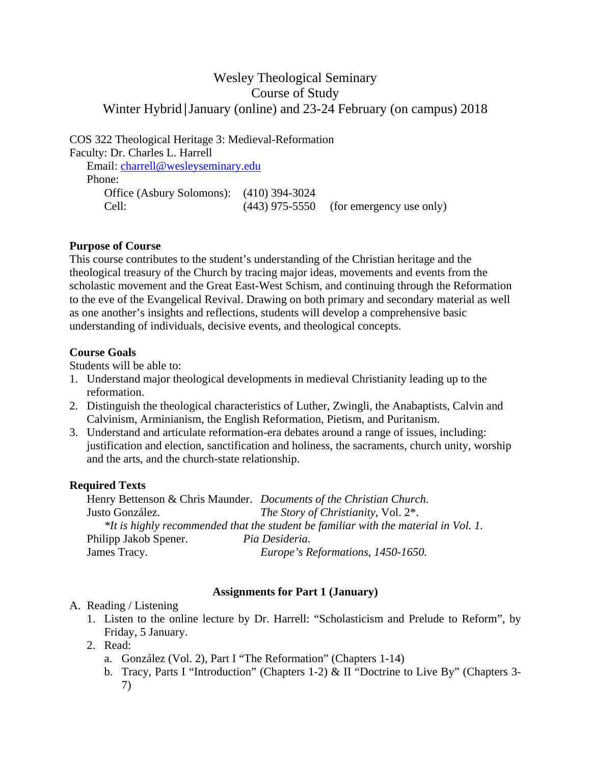# Wesley Theological Seminary Course of Study Winter Hybrid│January (online) and 23-24 February (on campus) 2018

COS 322 Theological Heritage 3: Medieval-Reformation Faculty: Dr. Charles L. Harrell

 Email: charrell@wesleyseminary.edu Phone: Office (Asbury Solomons): (410) 394-3024 Cell: (443) 975-5550 (for emergency use only)

## **Purpose of Course**

This course contributes to the student's understanding of the Christian heritage and the theological treasury of the Church by tracing major ideas, movements and events from the scholastic movement and the Great East-West Schism, and continuing through the Reformation to the eve of the Evangelical Revival. Drawing on both primary and secondary material as well as one another's insights and reflections, students will develop a comprehensive basic understanding of individuals, decisive events, and theological concepts.

#### **Course Goals**

Students will be able to:

- 1. Understand major theological developments in medieval Christianity leading up to the reformation.
- 2. Distinguish the theological characteristics of Luther, Zwingli, the Anabaptists, Calvin and Calvinism, Arminianism, the English Reformation, Pietism, and Puritanism.
- 3. Understand and articulate reformation-era debates around a range of issues, including: justification and election, sanctification and holiness, the sacraments, church unity, worship and the arts, and the church-state relationship.

## **Required Texts**

 Henry Bettenson & Chris Maunder. *Documents of the Christian Church*. Justo González. *The Story of Christianity*, Vol. 2\*. *\*It is highly recommended that the student be familiar with the material in Vol. 1.* Philipp Jakob Spener. *Pia Desideria.* James Tracy. *Europe's Reformations, 1450-1650.*

## **Assignments for Part 1 (January)**

## A. Reading / Listening

- 1. Listen to the online lecture by Dr. Harrell: "Scholasticism and Prelude to Reform", by Friday, 5 January.
- 2. Read:
	- a. González (Vol. 2), Part I "The Reformation" (Chapters 1-14)
	- b. Tracy, Parts I "Introduction" (Chapters 1-2) & II "Doctrine to Live By" (Chapters 3-7)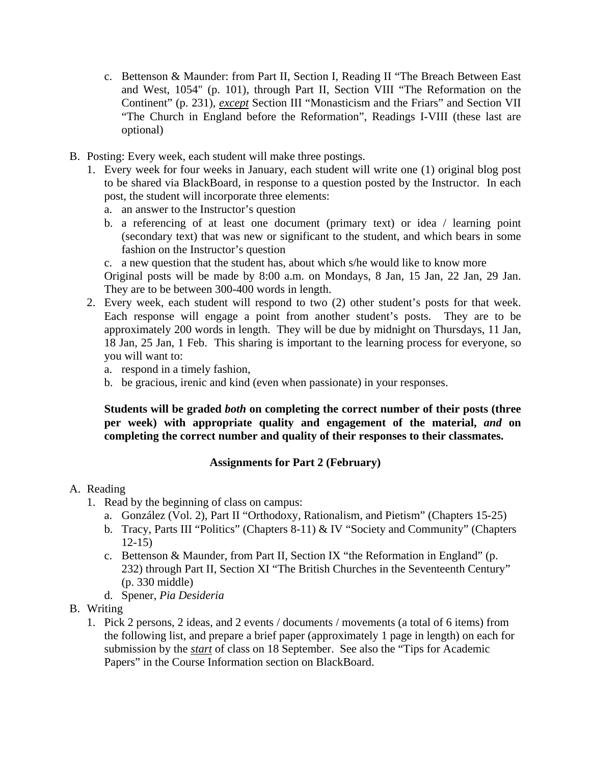- c. Bettenson & Maunder: from Part II, Section I, Reading II "The Breach Between East and West, 1054" (p. 101), through Part II, Section VIII "The Reformation on the Continent" (p. 231), *except* Section III "Monasticism and the Friars" and Section VII "The Church in England before the Reformation", Readings I-VIII (these last are optional)
- B. Posting: Every week, each student will make three postings.
	- 1. Every week for four weeks in January, each student will write one (1) original blog post to be shared via BlackBoard, in response to a question posted by the Instructor. In each post, the student will incorporate three elements:
		- a. an answer to the Instructor's question
		- b. a referencing of at least one document (primary text) or idea / learning point (secondary text) that was new or significant to the student, and which bears in some fashion on the Instructor's question

c. a new question that the student has, about which s/he would like to know more Original posts will be made by 8:00 a.m. on Mondays, 8 Jan, 15 Jan, 22 Jan, 29 Jan. They are to be between 300-400 words in length.

- 2. Every week, each student will respond to two (2) other student's posts for that week. Each response will engage a point from another student's posts. They are to be approximately 200 words in length. They will be due by midnight on Thursdays, 11 Jan, 18 Jan, 25 Jan, 1 Feb. This sharing is important to the learning process for everyone, so you will want to:
	- a. respond in a timely fashion,
	- b. be gracious, irenic and kind (even when passionate) in your responses.

**Students will be graded** *both* **on completing the correct number of their posts (three per week) with appropriate quality and engagement of the material,** *and* **on completing the correct number and quality of their responses to their classmates.**

## **Assignments for Part 2 (February)**

## A. Reading

- 1. Read by the beginning of class on campus:
	- a. González (Vol. 2), Part II "Orthodoxy, Rationalism, and Pietism" (Chapters 15-25)
	- b. Tracy, Parts III "Politics" (Chapters 8-11) & IV "Society and Community" (Chapters 12-15)
	- c. Bettenson & Maunder, from Part II, Section IX "the Reformation in England" (p. 232) through Part II, Section XI "The British Churches in the Seventeenth Century" (p. 330 middle)
	- d. Spener, *Pia Desideria*
- B. Writing
	- 1. Pick 2 persons, 2 ideas, and 2 events / documents / movements (a total of 6 items) from the following list, and prepare a brief paper (approximately 1 page in length) on each for submission by the *start* of class on 18 September. See also the "Tips for Academic Papers" in the Course Information section on BlackBoard.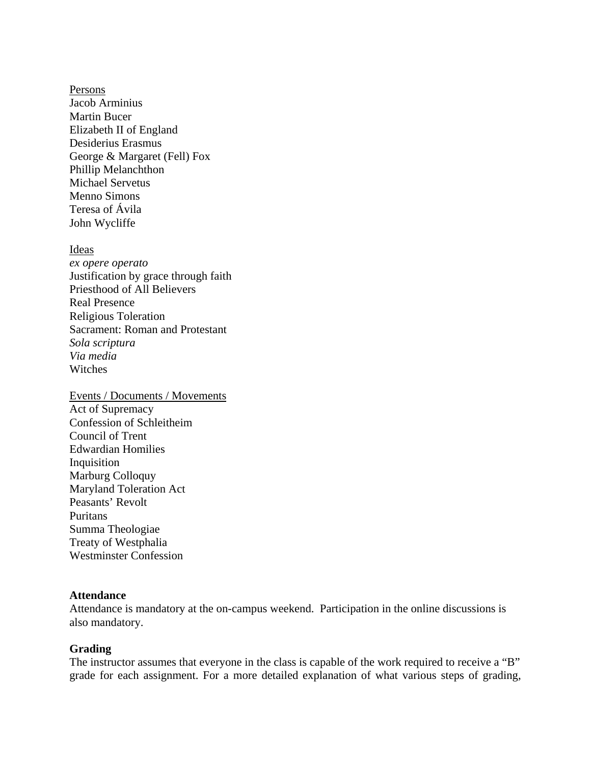Persons Jacob Arminius Martin Bucer Elizabeth II of England Desiderius Erasmus George & Margaret (Fell) Fox Phillip Melanchthon Michael Servetus Menno Simons Teresa of Ávila John Wycliffe

Ideas *ex opere operato* Justification by grace through faith Priesthood of All Believers Real Presence Religious Toleration Sacrament: Roman and Protestant *Sola scriptura Via media* **Witches** 

Events / Documents / Movements Act of Supremacy Confession of Schleitheim Council of Trent Edwardian Homilies Inquisition Marburg Colloquy Maryland Toleration Act Peasants' Revolt Puritans Summa Theologiae Treaty of Westphalia Westminster Confession

#### **Attendance**

Attendance is mandatory at the on-campus weekend. Participation in the online discussions is also mandatory.

#### **Grading**

The instructor assumes that everyone in the class is capable of the work required to receive a "B" grade for each assignment. For a more detailed explanation of what various steps of grading,